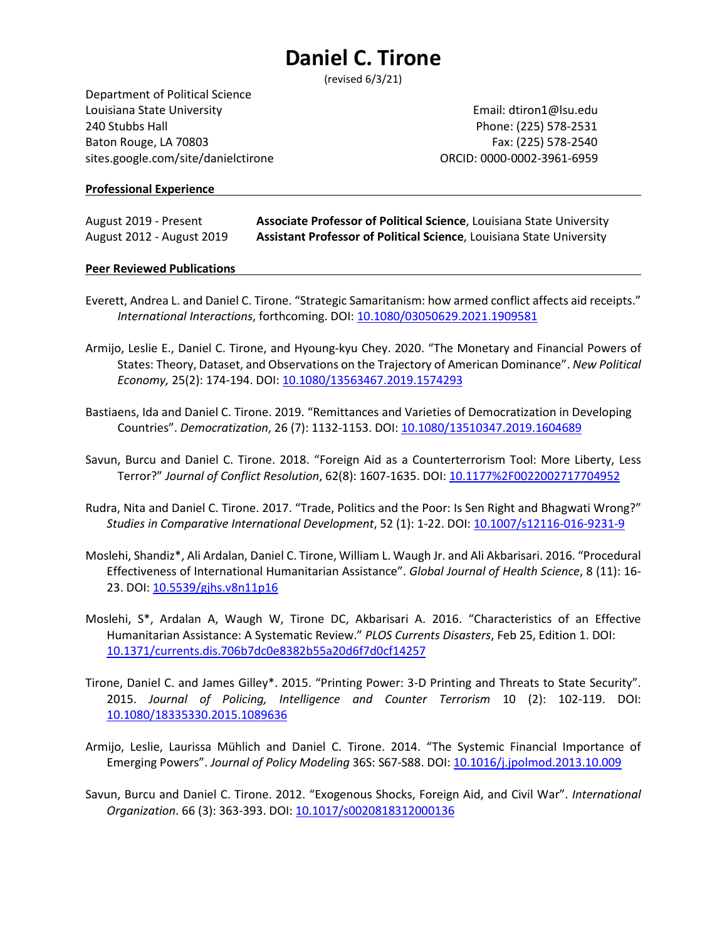(revised 6/3/21)

Department of Political Science Louisiana State University **Email:** dtiron1@lsu.edu 240 Stubbs Hall Phone: (225) 578-2531 Baton Rouge, LA 70803 Fax: (225) 578-2540 sites.google.com/site/danielctirone ORCID: 0000-0002-3961-6959

#### **Professional Experience**

August 2019 - Present **Associate Professor of Political Science**, Louisiana State University August 2012 - August 2019 **Assistant Professor of Political Science**, Louisiana State University

#### **Peer Reviewed Publications**

- Everett, Andrea L. and Daniel C. Tirone. "Strategic Samaritanism: how armed conflict affects aid receipts." *International Interactions*, forthcoming. DOI[: 10.1080/03050629.2021.1909581](https://doi.org/10.1080/03050629.2021.1909581)
- Armijo, Leslie E., Daniel C. Tirone, and Hyoung-kyu Chey. 2020. "The Monetary and Financial Powers of States: Theory, Dataset, and Observations on the Trajectory of American Dominance". *New Political Economy,* 25(2): 174-194. DOI: [10.1080/13563467.2019.1574293](https://doi.org/10.1080/13563467.2019.1574293)
- Bastiaens, Ida and Daniel C. Tirone. 2019. "Remittances and Varieties of Democratization in Developing Countries". *Democratization*, 26 (7): 1132-1153. DOI: [10.1080/13510347.2019.1604689](https://doi.org/10.1080/13510347.2019.1604689)
- Savun, Burcu and Daniel C. Tirone. 2018. "Foreign Aid as a Counterterrorism Tool: More Liberty, Less Terror?" *Journal of Conflict Resolution*, 62(8): 1607-1635. DOI[: 10.1177%2F0022002717704952](https://doi.org/10.1177%2F0022002717704952)
- Rudra, Nita and Daniel C. Tirone. 2017. "Trade, Politics and the Poor: Is Sen Right and Bhagwati Wrong?" *Studies in Comparative International Development*, 52 (1): 1-22. DOI: [10.1007/s12116-016-9231-9](https://doi.org/10.1007/s12116-016-9231-9)
- Moslehi, Shandiz\*, Ali Ardalan, Daniel C. Tirone, William L. Waugh Jr. and Ali Akbarisari. 2016. "Procedural Effectiveness of International Humanitarian Assistance". *Global Journal of Health Science*, 8 (11): 16- 23. DOI[: 10.5539/gjhs.v8n11p16](https://doi.org/10.5539/gjhs.v8n11p16)
- Moslehi, S\*, Ardalan A, Waugh W, Tirone DC, Akbarisari A. 2016. "Characteristics of an Effective Humanitarian Assistance: A Systematic Review." *PLOS Currents Disasters*, Feb 25, Edition 1. DOI: [10.1371/currents.dis.706b7dc0e8382b55a20d6f7d0cf14257](https://doi.org/10.1371/currents.dis.706b7dc0e8382b55a20d6f7d0cf14257)
- Tirone, Daniel C. and James Gilley\*. 2015. "Printing Power: 3-D Printing and Threats to State Security". 2015. *Journal of Policing, Intelligence and Counter Terrorism* 10 (2): 102-119. DOI: [10.1080/18335330.2015.1089636](https://doi.org/10.1080/18335330.2015.1089636)
- Armijo, Leslie, Laurissa Mühlich and Daniel C. Tirone. 2014. "The Systemic Financial Importance of Emerging Powers". *Journal of Policy Modeling* 36S: S67-S88. DOI: [10.1016/j.jpolmod.2013.10.009](https://doi.org/10.1016/j.jpolmod.2013.10.009)
- Savun, Burcu and Daniel C. Tirone. 2012. "Exogenous Shocks, Foreign Aid, and Civil War". *International Organization*. 66 (3): 363-393. DOI: [10.1017/s0020818312000136](https://doi.org/10.1017/s0020818312000136)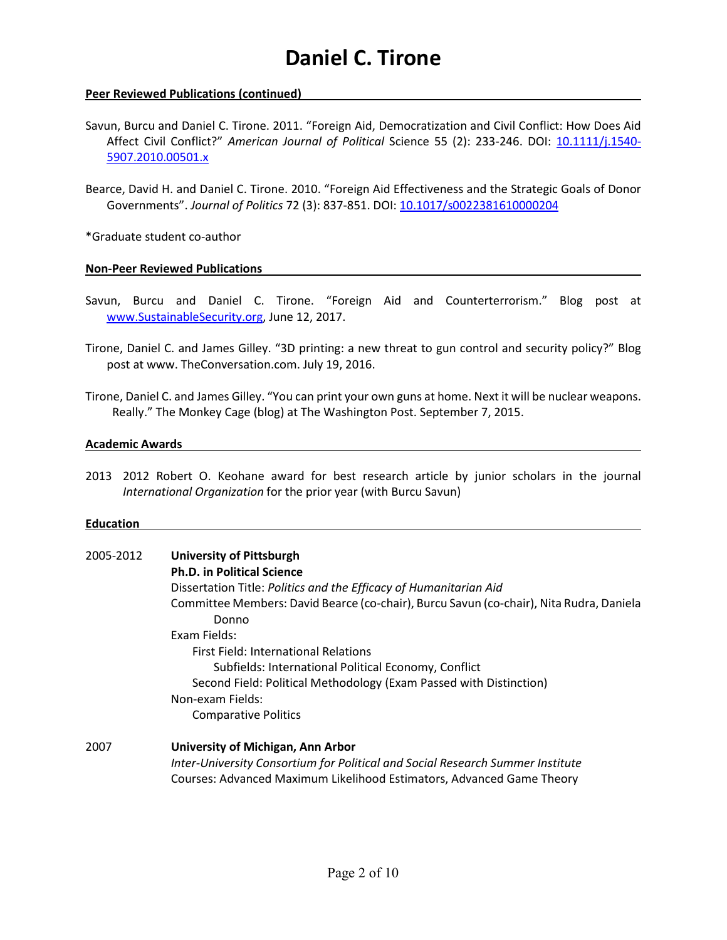### **Peer Reviewed Publications (continued)**

Savun, Burcu and Daniel C. Tirone. 2011. "Foreign Aid, Democratization and Civil Conflict: How Does Aid Affect Civil Conflict?" *American Journal of Political* Science 55 (2): 233-246. DOI: [10.1111/j.1540-](https://doi.org/10.1111/j.1540-5907.2010.00501.x) [5907.2010.00501.x](https://doi.org/10.1111/j.1540-5907.2010.00501.x)

Bearce, David H. and Daniel C. Tirone. 2010. "Foreign Aid Effectiveness and the Strategic Goals of Donor Governments". *Journal of Politics* 72 (3): 837-851. DOI[: 10.1017/s0022381610000204](https://doi.org/10.1017/s0022381610000204)

\*Graduate student co-author

### **Non-Peer Reviewed Publications**

- Savun, Burcu and Daniel C. Tirone. "Foreign Aid and Counterterrorism." Blog post at [www.SustainableSecurity.org,](http://www.sustainablesecurity.org/) June 12, 2017.
- Tirone, Daniel C. and James Gilley. "3D printing: a new threat to gun control and security policy?" Blog post at www. TheConversation.com. July 19, 2016.
- Tirone, Daniel C. and James Gilley. "You can print your own guns at home. Next it will be nuclear weapons. Really." The Monkey Cage (blog) at The Washington Post. September 7, 2015.

#### **Academic Awards**

2013 2012 Robert O. Keohane award for best research article by junior scholars in the journal *International Organization* for the prior year (with Burcu Savun)

#### **Education**

| 2005-2012 | <b>University of Pittsburgh</b>                                                                  |  |  |
|-----------|--------------------------------------------------------------------------------------------------|--|--|
|           | <b>Ph.D. in Political Science</b>                                                                |  |  |
|           | Dissertation Title: Politics and the Efficacy of Humanitarian Aid                                |  |  |
|           | Committee Members: David Bearce (co-chair), Burcu Savun (co-chair), Nita Rudra, Daniela<br>Donno |  |  |
|           | Exam Fields:                                                                                     |  |  |
|           | <b>First Field: International Relations</b>                                                      |  |  |
|           | Subfields: International Political Economy, Conflict                                             |  |  |
|           | Second Field: Political Methodology (Exam Passed with Distinction)                               |  |  |
|           | Non-exam Fields:                                                                                 |  |  |
|           | <b>Comparative Politics</b>                                                                      |  |  |
| 2007      | University of Michigan, Ann Arbor                                                                |  |  |
|           | Inter-University Consortium for Political and Social Research Summer Institute                   |  |  |
|           | Courses: Advanced Maximum Likelihood Estimators, Advanced Game Theory                            |  |  |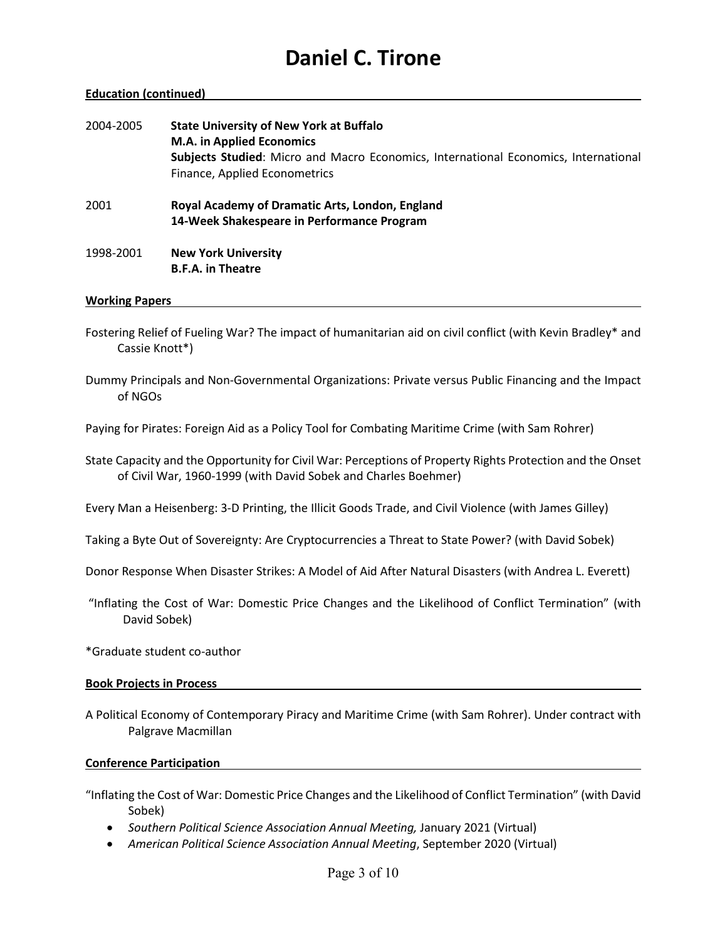#### **Education (continued)**

| 2004-2005 | <b>State University of New York at Buffalo</b><br><b>M.A. in Applied Economics</b><br>Subjects Studied: Micro and Macro Economics, International Economics, International<br>Finance, Applied Econometrics |
|-----------|------------------------------------------------------------------------------------------------------------------------------------------------------------------------------------------------------------|
| 2001      | Royal Academy of Dramatic Arts, London, England<br>14-Week Shakespeare in Performance Program                                                                                                              |
| 1998-2001 | <b>New York University</b><br><b>B.F.A. in Theatre</b>                                                                                                                                                     |

#### **Working Papers**

- Fostering Relief of Fueling War? The impact of humanitarian aid on civil conflict (with Kevin Bradley\* and Cassie Knott\*)
- Dummy Principals and Non-Governmental Organizations: Private versus Public Financing and the Impact of NGOs

Paying for Pirates: Foreign Aid as a Policy Tool for Combating Maritime Crime (with Sam Rohrer)

State Capacity and the Opportunity for Civil War: Perceptions of Property Rights Protection and the Onset of Civil War, 1960-1999 (with David Sobek and Charles Boehmer)

Every Man a Heisenberg: 3-D Printing, the Illicit Goods Trade, and Civil Violence (with James Gilley)

Taking a Byte Out of Sovereignty: Are Cryptocurrencies a Threat to State Power? (with David Sobek)

Donor Response When Disaster Strikes: A Model of Aid After Natural Disasters (with Andrea L. Everett)

- "Inflating the Cost of War: Domestic Price Changes and the Likelihood of Conflict Termination" (with David Sobek)
- \*Graduate student co-author

#### **Book Projects in Process**

A Political Economy of Contemporary Piracy and Maritime Crime (with Sam Rohrer). Under contract with Palgrave Macmillan

#### **Conference Participation**

"Inflating the Cost of War: Domestic Price Changes and the Likelihood of Conflict Termination" (with David Sobek)

- *Southern Political Science Association Annual Meeting,* January 2021 (Virtual)
- *American Political Science Association Annual Meeting*, September 2020 (Virtual)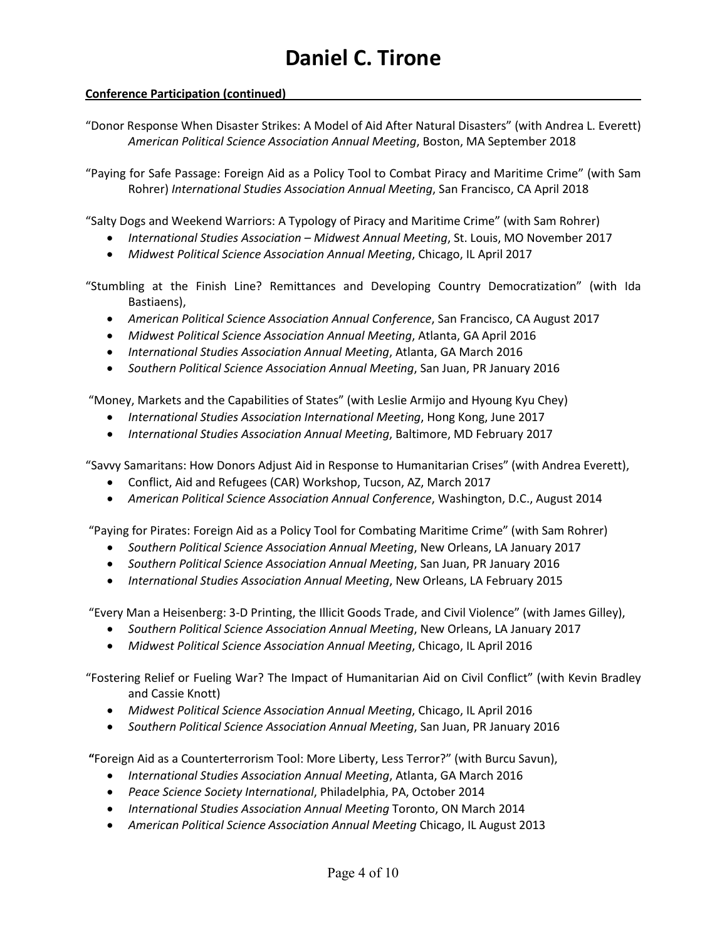# **Conference Participation (continued)**

"Donor Response When Disaster Strikes: A Model of Aid After Natural Disasters" (with Andrea L. Everett) *American Political Science Association Annual Meeting*, Boston, MA September 2018

"Paying for Safe Passage: Foreign Aid as a Policy Tool to Combat Piracy and Maritime Crime" (with Sam Rohrer) *International Studies Association Annual Meeting*, San Francisco, CA April 2018

"Salty Dogs and Weekend Warriors: A Typology of Piracy and Maritime Crime" (with Sam Rohrer)

- *International Studies Association – Midwest Annual Meeting*, St. Louis, MO November 2017
- *Midwest Political Science Association Annual Meeting*, Chicago, IL April 2017

"Stumbling at the Finish Line? Remittances and Developing Country Democratization" (with Ida Bastiaens),

- *American Political Science Association Annual Conference*, San Francisco, CA August 2017
- *Midwest Political Science Association Annual Meeting*, Atlanta, GA April 2016
- *International Studies Association Annual Meeting*, Atlanta, GA March 2016
- *Southern Political Science Association Annual Meeting*, San Juan, PR January 2016

"Money, Markets and the Capabilities of States" (with Leslie Armijo and Hyoung Kyu Chey)

- *International Studies Association International Meeting*, Hong Kong, June 2017
- *International Studies Association Annual Meeting*, Baltimore, MD February 2017

"Savvy Samaritans: How Donors Adjust Aid in Response to Humanitarian Crises" (with Andrea Everett),

- Conflict, Aid and Refugees (CAR) Workshop, Tucson, AZ, March 2017
- *American Political Science Association Annual Conference*, Washington, D.C., August 2014

"Paying for Pirates: Foreign Aid as a Policy Tool for Combating Maritime Crime" (with Sam Rohrer)

- *Southern Political Science Association Annual Meeting*, New Orleans, LA January 2017
- *Southern Political Science Association Annual Meeting*, San Juan, PR January 2016
- *International Studies Association Annual Meeting*, New Orleans, LA February 2015

"Every Man a Heisenberg: 3-D Printing, the Illicit Goods Trade, and Civil Violence" (with James Gilley),

- *Southern Political Science Association Annual Meeting*, New Orleans, LA January 2017
- *Midwest Political Science Association Annual Meeting*, Chicago, IL April 2016

"Fostering Relief or Fueling War? The Impact of Humanitarian Aid on Civil Conflict" (with Kevin Bradley and Cassie Knott)

- *Midwest Political Science Association Annual Meeting*, Chicago, IL April 2016
- *Southern Political Science Association Annual Meeting*, San Juan, PR January 2016

**"**Foreign Aid as a Counterterrorism Tool: More Liberty, Less Terror?" (with Burcu Savun),

- *International Studies Association Annual Meeting*, Atlanta, GA March 2016
- *Peace Science Society International*, Philadelphia, PA, October 2014
- *International Studies Association Annual Meeting* Toronto, ON March 2014
- *American Political Science Association Annual Meeting* Chicago, IL August 2013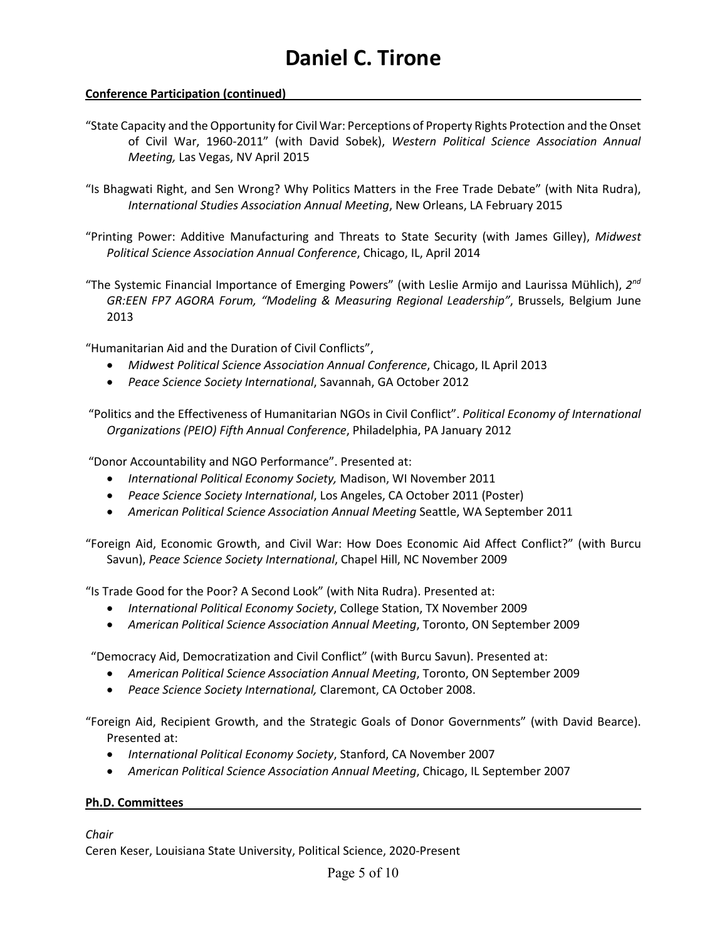# **Conference Participation (continued)**

- "State Capacity and the Opportunity for Civil War: Perceptions of Property Rights Protection and the Onset of Civil War, 1960-2011" (with David Sobek), *Western Political Science Association Annual Meeting,* Las Vegas, NV April 2015
- "Is Bhagwati Right, and Sen Wrong? Why Politics Matters in the Free Trade Debate" (with Nita Rudra), *International Studies Association Annual Meeting*, New Orleans, LA February 2015
- "Printing Power: Additive Manufacturing and Threats to State Security (with James Gilley), *Midwest Political Science Association Annual Conference*, Chicago, IL, April 2014
- "The Systemic Financial Importance of Emerging Powers" (with Leslie Armijo and Laurissa Mühlich), *2nd GR:EEN FP7 AGORA Forum, "Modeling & Measuring Regional Leadership"*, Brussels, Belgium June 2013

"Humanitarian Aid and the Duration of Civil Conflicts",

- *Midwest Political Science Association Annual Conference*, Chicago, IL April 2013
- *Peace Science Society International*, Savannah, GA October 2012

"Politics and the Effectiveness of Humanitarian NGOs in Civil Conflict". *Political Economy of International Organizations (PEIO) Fifth Annual Conference*, Philadelphia, PA January 2012

"Donor Accountability and NGO Performance". Presented at:

- *International Political Economy Society,* Madison, WI November 2011
- *Peace Science Society International*, Los Angeles, CA October 2011 (Poster)
- *American Political Science Association Annual Meeting* Seattle, WA September 2011

"Foreign Aid, Economic Growth, and Civil War: How Does Economic Aid Affect Conflict?" (with Burcu Savun), *Peace Science Society International*, Chapel Hill, NC November 2009

"Is Trade Good for the Poor? A Second Look" (with Nita Rudra). Presented at:

- *International Political Economy Society*, College Station, TX November 2009
- *American Political Science Association Annual Meeting*, Toronto, ON September 2009

"Democracy Aid, Democratization and Civil Conflict" (with Burcu Savun). Presented at:

- *American Political Science Association Annual Meeting*, Toronto, ON September 2009
- *Peace Science Society International,* Claremont, CA October 2008.

"Foreign Aid, Recipient Growth, and the Strategic Goals of Donor Governments" (with David Bearce). Presented at:

- *International Political Economy Society*, Stanford, CA November 2007
- *American Political Science Association Annual Meeting*, Chicago, IL September 2007

# **Ph.D. Committees**

*Chair*

Ceren Keser, Louisiana State University, Political Science, 2020-Present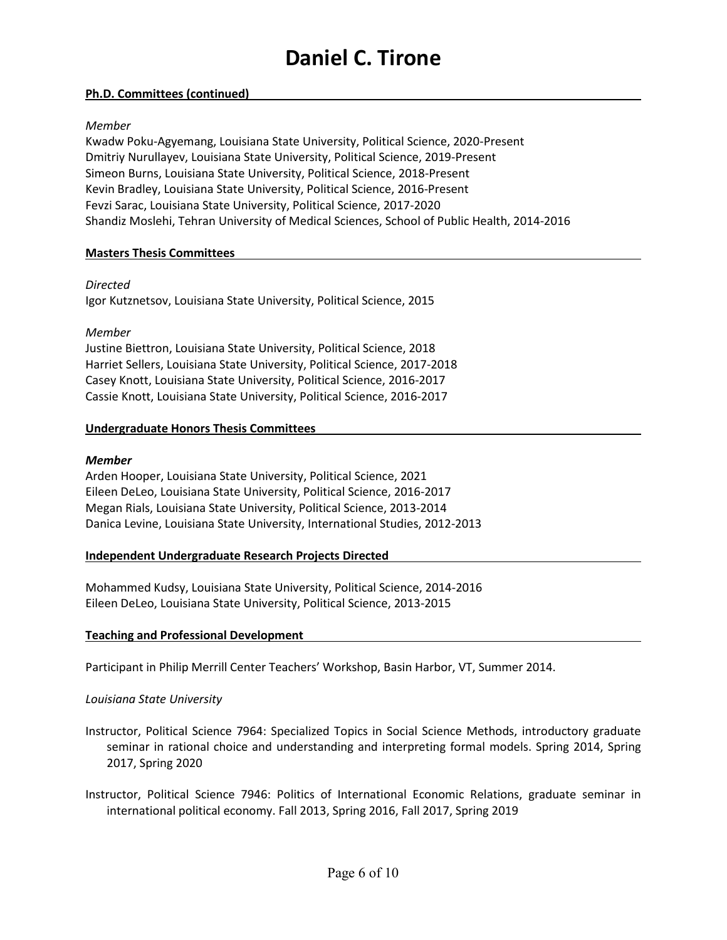### **Ph.D. Committees (continued)**

### *Member*

Kwadw Poku-Agyemang, Louisiana State University, Political Science, 2020-Present Dmitriy Nurullayev, Louisiana State University, Political Science, 2019-Present Simeon Burns, Louisiana State University, Political Science, 2018-Present Kevin Bradley, Louisiana State University, Political Science, 2016-Present Fevzi Sarac, Louisiana State University, Political Science, 2017-2020 Shandiz Moslehi, Tehran University of Medical Sciences, School of Public Health, 2014-2016

# **Masters Thesis Committees**

### *Directed*

Igor Kutznetsov, Louisiana State University, Political Science, 2015

### *Member*

Justine Biettron, Louisiana State University, Political Science, 2018 Harriet Sellers, Louisiana State University, Political Science, 2017-2018 Casey Knott, Louisiana State University, Political Science, 2016-2017 Cassie Knott, Louisiana State University, Political Science, 2016-2017

# **Undergraduate Honors Thesis Committees**

### *Member*

Arden Hooper, Louisiana State University, Political Science, 2021 Eileen DeLeo, Louisiana State University, Political Science, 2016-2017 Megan Rials, Louisiana State University, Political Science, 2013-2014 Danica Levine, Louisiana State University, International Studies, 2012-2013

# **Independent Undergraduate Research Projects Directed**

Mohammed Kudsy, Louisiana State University, Political Science, 2014-2016 Eileen DeLeo, Louisiana State University, Political Science, 2013-2015

# **Teaching and Professional Development**

Participant in Philip Merrill Center Teachers' Workshop, Basin Harbor, VT, Summer 2014.

# *Louisiana State University*

Instructor, Political Science 7964: Specialized Topics in Social Science Methods, introductory graduate seminar in rational choice and understanding and interpreting formal models. Spring 2014, Spring 2017, Spring 2020

Instructor, Political Science 7946: Politics of International Economic Relations, graduate seminar in international political economy. Fall 2013, Spring 2016, Fall 2017, Spring 2019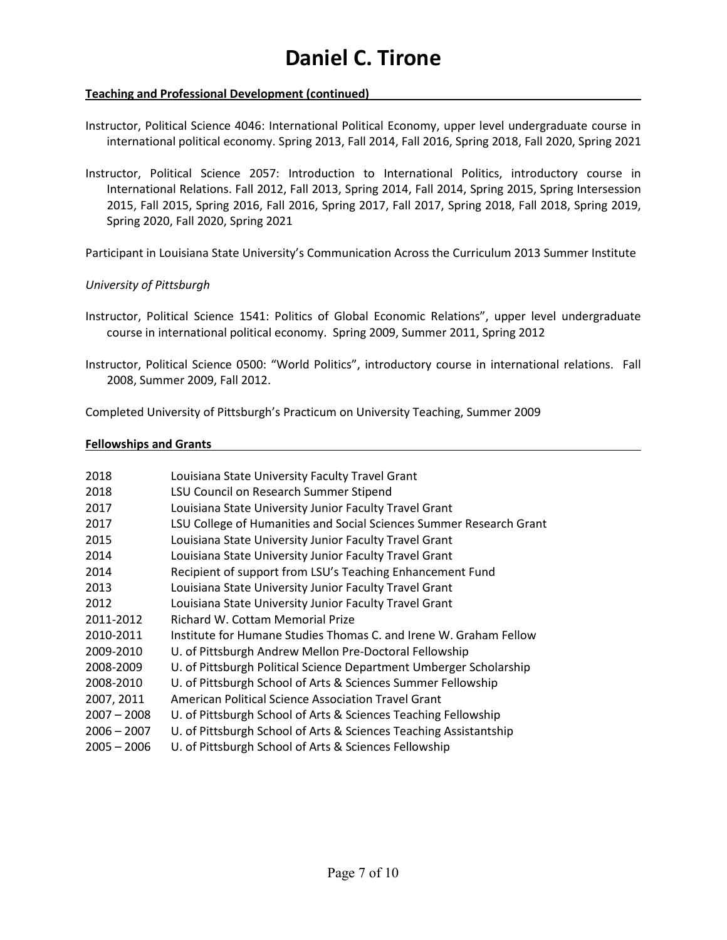# **Teaching and Professional Development (continued)**

Instructor, Political Science 4046: International Political Economy, upper level undergraduate course in international political economy. Spring 2013, Fall 2014, Fall 2016, Spring 2018, Fall 2020, Spring 2021

Instructor, Political Science 2057: Introduction to International Politics, introductory course in International Relations. Fall 2012, Fall 2013, Spring 2014, Fall 2014, Spring 2015, Spring Intersession 2015, Fall 2015, Spring 2016, Fall 2016, Spring 2017, Fall 2017, Spring 2018, Fall 2018, Spring 2019, Spring 2020, Fall 2020, Spring 2021

Participant in Louisiana State University's Communication Across the Curriculum 2013 Summer Institute

# *University of Pittsburgh*

Instructor, Political Science 1541: Politics of Global Economic Relations", upper level undergraduate course in international political economy. Spring 2009, Summer 2011, Spring 2012

Completed University of Pittsburgh's Practicum on University Teaching, Summer 2009

# **Fellowships and Grants**

| 2018          | Louisiana State University Faculty Travel Grant                     |
|---------------|---------------------------------------------------------------------|
| 2018          | LSU Council on Research Summer Stipend                              |
| 2017          | Louisiana State University Junior Faculty Travel Grant              |
| 2017          | LSU College of Humanities and Social Sciences Summer Research Grant |
| 2015          | Louisiana State University Junior Faculty Travel Grant              |
| 2014          | Louisiana State University Junior Faculty Travel Grant              |
| 2014          | Recipient of support from LSU's Teaching Enhancement Fund           |
| 2013          | Louisiana State University Junior Faculty Travel Grant              |
| 2012          | Louisiana State University Junior Faculty Travel Grant              |
| 2011-2012     | Richard W. Cottam Memorial Prize                                    |
| 2010-2011     | Institute for Humane Studies Thomas C, and Irene W, Graham Fellow   |
| 2009-2010     | U. of Pittsburgh Andrew Mellon Pre-Doctoral Fellowship              |
| 2008-2009     | U. of Pittsburgh Political Science Department Umberger Scholarship  |
| 2008-2010     | U. of Pittsburgh School of Arts & Sciences Summer Fellowship        |
| 2007, 2011    | American Political Science Association Travel Grant                 |
| $2007 - 2008$ | U. of Pittsburgh School of Arts & Sciences Teaching Fellowship      |
| $2006 - 2007$ | U. of Pittsburgh School of Arts & Sciences Teaching Assistantship   |
| $2005 - 2006$ | U. of Pittsburgh School of Arts & Sciences Fellowship               |

Instructor, Political Science 0500: "World Politics", introductory course in international relations. Fall 2008, Summer 2009, Fall 2012.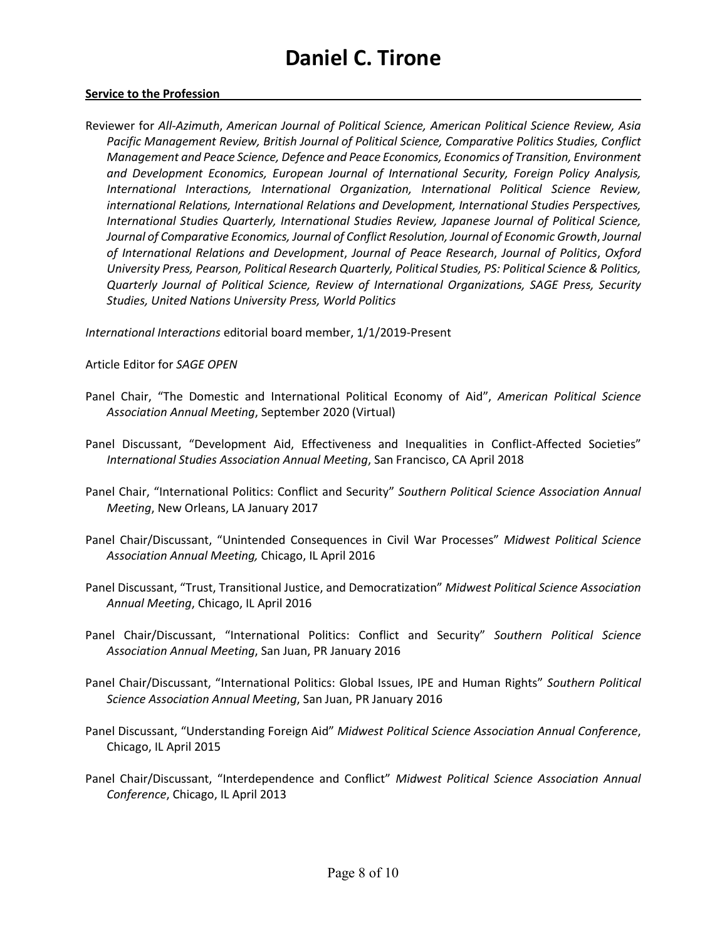#### **Service to the Profession**

Reviewer for *All-Azimuth*, *American Journal of Political Science, American Political Science Review, Asia Pacific Management Review, British Journal of Political Science, Comparative Politics Studies, Conflict Management and Peace Science, Defence and Peace Economics, Economics of Transition, Environment and Development Economics, European Journal of International Security, Foreign Policy Analysis, International Interactions, International Organization, International Political Science Review, international Relations, International Relations and Development, International Studies Perspectives, International Studies Quarterly, International Studies Review, Japanese Journal of Political Science, Journal of Comparative Economics, Journal of Conflict Resolution, Journal of Economic Growth*, *Journal of International Relations and Development*, *Journal of Peace Research*, *Journal of Politics*, *Oxford University Press, Pearson, Political Research Quarterly, Political Studies, PS: Political Science & Politics, Quarterly Journal of Political Science, Review of International Organizations, SAGE Press, Security Studies, United Nations University Press, World Politics*

*International Interactions* editorial board member, 1/1/2019-Present

Article Editor for *SAGE OPEN*

- Panel Chair, "The Domestic and International Political Economy of Aid", *American Political Science Association Annual Meeting*, September 2020 (Virtual)
- Panel Discussant, "Development Aid, Effectiveness and Inequalities in Conflict-Affected Societies" *International Studies Association Annual Meeting*, San Francisco, CA April 2018
- Panel Chair, "International Politics: Conflict and Security" *Southern Political Science Association Annual Meeting*, New Orleans, LA January 2017
- Panel Chair/Discussant, "Unintended Consequences in Civil War Processes" *Midwest Political Science Association Annual Meeting,* Chicago, IL April 2016
- Panel Discussant, "Trust, Transitional Justice, and Democratization" *Midwest Political Science Association Annual Meeting*, Chicago, IL April 2016
- Panel Chair/Discussant, "International Politics: Conflict and Security" *Southern Political Science Association Annual Meeting*, San Juan, PR January 2016
- Panel Chair/Discussant, "International Politics: Global Issues, IPE and Human Rights" *Southern Political Science Association Annual Meeting*, San Juan, PR January 2016
- Panel Discussant, "Understanding Foreign Aid" *Midwest Political Science Association Annual Conference*, Chicago, IL April 2015
- Panel Chair/Discussant, "Interdependence and Conflict" *Midwest Political Science Association Annual Conference*, Chicago, IL April 2013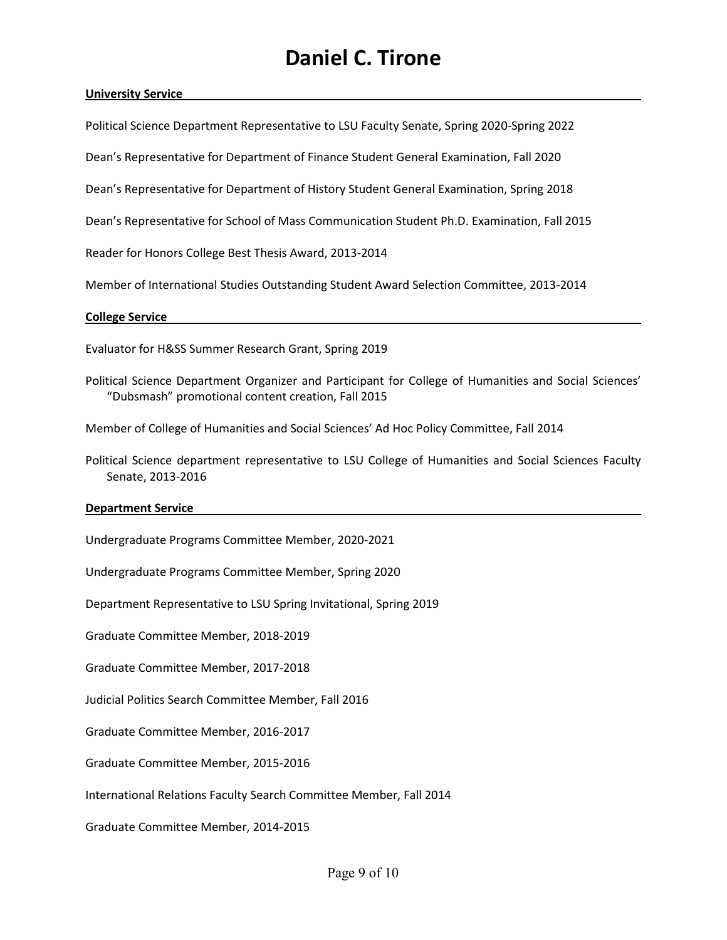#### **University Service**

Political Science Department Representative to LSU Faculty Senate, Spring 2020-Spring 2022

Dean's Representative for Department of Finance Student General Examination, Fall 2020

Dean's Representative for Department of History Student General Examination, Spring 2018

Dean's Representative for School of Mass Communication Student Ph.D. Examination, Fall 2015

Reader for Honors College Best Thesis Award, 2013-2014

Member of International Studies Outstanding Student Award Selection Committee, 2013-2014

#### **College Service**

Evaluator for H&SS Summer Research Grant, Spring 2019

Political Science Department Organizer and Participant for College of Humanities and Social Sciences' "Dubsmash" promotional content creation, Fall 2015

Member of College of Humanities and Social Sciences' Ad Hoc Policy Committee, Fall 2014

Political Science department representative to LSU College of Humanities and Social Sciences Faculty Senate, 2013-2016

#### **Department Service**

Undergraduate Programs Committee Member, 2020-2021

Undergraduate Programs Committee Member, Spring 2020

Department Representative to LSU Spring Invitational, Spring 2019

Graduate Committee Member, 2018-2019

Graduate Committee Member, 2017-2018

Judicial Politics Search Committee Member, Fall 2016

Graduate Committee Member, 2016-2017

Graduate Committee Member, 2015-2016

International Relations Faculty Search Committee Member, Fall 2014

Graduate Committee Member, 2014-2015